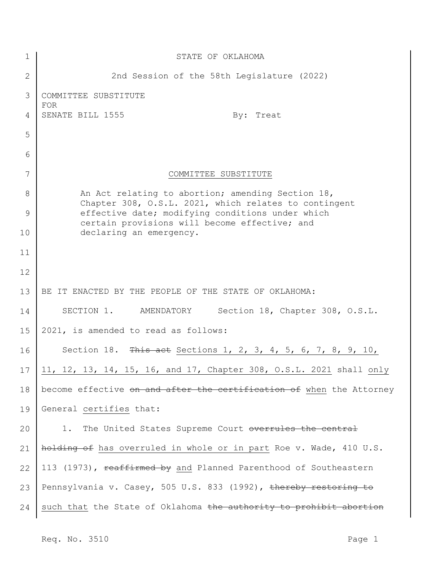| $\mathbf 1$  | STATE OF OKLAHOMA                                                                                          |
|--------------|------------------------------------------------------------------------------------------------------------|
| $\mathbf{2}$ | 2nd Session of the 58th Legislature (2022)                                                                 |
| 3            | COMMITTEE SUBSTITUTE<br><b>FOR</b>                                                                         |
| 4            | SENATE BILL 1555<br>By: Treat                                                                              |
| 5            |                                                                                                            |
| 6            |                                                                                                            |
| 7            | COMMITTEE SUBSTITUTE                                                                                       |
| 8            | An Act relating to abortion; amending Section 18,<br>Chapter 308, O.S.L. 2021, which relates to contingent |
| 9            | effective date; modifying conditions under which<br>certain provisions will become effective; and          |
| 10           | declaring an emergency.                                                                                    |
| 11           |                                                                                                            |
| 12           |                                                                                                            |
| 13           | BE IT ENACTED BY THE PEOPLE OF THE STATE OF OKLAHOMA:                                                      |
| 14           | Section 18, Chapter 308, O.S.L.<br>SECTION 1. AMENDATORY                                                   |
| 15           | 2021, is amended to read as follows:                                                                       |
| 16           | Section 18. This act Sections 1, 2, 3, 4, 5, 6, 7, 8, 9, 10,                                               |
| 17           | 11, 12, 13, 14, 15, 16, and 17, Chapter 308, O.S.L. 2021 shall only                                        |
| 18           | become effective on and after the certification of when the Attorney                                       |
| 19           | General certifies that:                                                                                    |
| 20           | 1. The United States Supreme Court overrules the central                                                   |
| 21           | holding of has overruled in whole or in part Roe v. Wade, 410 U.S.                                         |
| 22           | 113 (1973), reaffirmed by and Planned Parenthood of Southeastern                                           |
| 23           | Pennsylvania v. Casey, 505 U.S. 833 (1992), thereby restoring to                                           |
| 24           | such that the State of Oklahoma the authority to prohibit abortion                                         |

Req. No. 3510 Page 1